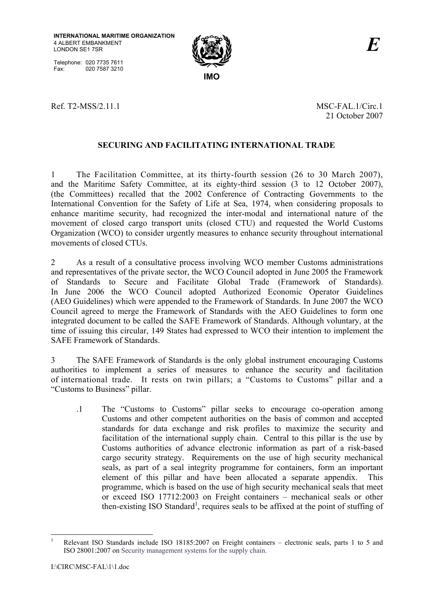Telephone: 020 7735 7611 Fax: 020 7587 3210



Ref. T2-MSS/2.11.1 MSC-FAL.1/Circ.1

21 October 2007

## **SECURING AND FACILITATING INTERNATIONAL TRADE**

1 The Facilitation Committee, at its thirty-fourth session (26 to 30 March 2007), and the Maritime Safety Committee, at its eighty-third session (3 to 12 October 2007), (the Committees) recalled that the 2002 Conference of Contracting Governments to the International Convention for the Safety of Life at Sea, 1974, when considering proposals to enhance maritime security, had recognized the inter-modal and international nature of the movement of closed cargo transport units (closed CTU) and requested the World Customs Organization (WCO) to consider urgently measures to enhance security throughout international movements of closed CTUs.

2 As a result of a consultative process involving WCO member Customs administrations and representatives of the private sector, the WCO Council adopted in June 2005 the Framework of Standards to Secure and Facilitate Global Trade (Framework of Standards). In June 2006 the WCO Council adopted Authorized Economic Operator Guidelines (AEO Guidelines) which were appended to the Framework of Standards. In June 2007 the WCO Council agreed to merge the Framework of Standards with the AEO Guidelines to form one integrated document to be called the SAFE Framework of Standards. Although voluntary, at the time of issuing this circular, 149 States had expressed to WCO their intention to implement the SAFE Framework of Standards.

3 The SAFE Framework of Standards is the only global instrument encouraging Customs authorities to implement a series of measures to enhance the security and facilitation of international trade. It rests on twin pillars; a "Customs to Customs" pillar and a "Customs to Business" pillar.

.1 The "Customs to Customs" pillar seeks to encourage co-operation among Customs and other competent authorities on the basis of common and accepted standards for data exchange and risk profiles to maximize the security and facilitation of the international supply chain. Central to this pillar is the use by Customs authorities of advance electronic information as part of a risk-based cargo security strategy. Requirements on the use of high security mechanical seals, as part of a seal integrity programme for containers, form an important element of this pillar and have been allocated a separate appendix. This programme, which is based on the use of high security mechanical seals that meet or exceed ISO  $17712:2003$  on Freight containers – mechanical seals or other then-existing ISO Standard<sup>1</sup>, requires seals to be affixed at the point of stuffing of

 $\overline{a}$ 

<sup>1</sup> Relevant ISO Standards include ISO 18185:2007 on Freight containers – electronic seals, parts 1 to 5 and ISO 28001:2007 on Security management systems for the supply chain.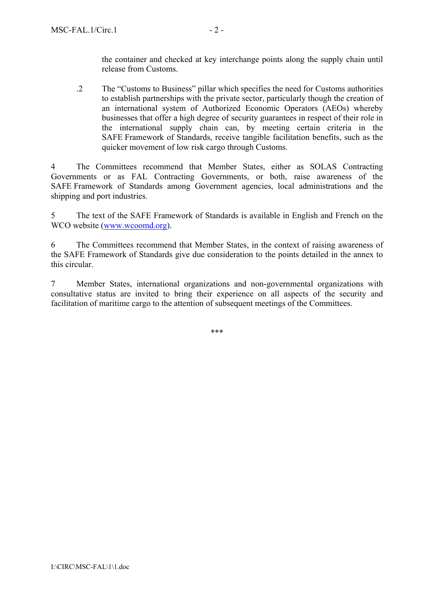the container and checked at key interchange points along the supply chain until release from Customs.

.2 The "Customs to Business" pillar which specifies the need for Customs authorities to establish partnerships with the private sector, particularly though the creation of an international system of Authorized Economic Operators (AEOs) whereby businesses that offer a high degree of security guarantees in respect of their role in the international supply chain can, by meeting certain criteria in the SAFE Framework of Standards, receive tangible facilitation benefits, such as the quicker movement of low risk cargo through Customs.

4 The Committees recommend that Member States, either as SOLAS Contracting Governments or as FAL Contracting Governments, or both, raise awareness of the SAFE Framework of Standards among Government agencies, local administrations and the shipping and port industries.

5 The text of the SAFE Framework of Standards is available in English and French on the WCO website (www.wcoomd.org).

6 The Committees recommend that Member States, in the context of raising awareness of the SAFE Framework of Standards give due consideration to the points detailed in the annex to this circular.

7 Member States, international organizations and non-governmental organizations with consultative status are invited to bring their experience on all aspects of the security and facilitation of maritime cargo to the attention of subsequent meetings of the Committees.

\*\*\*